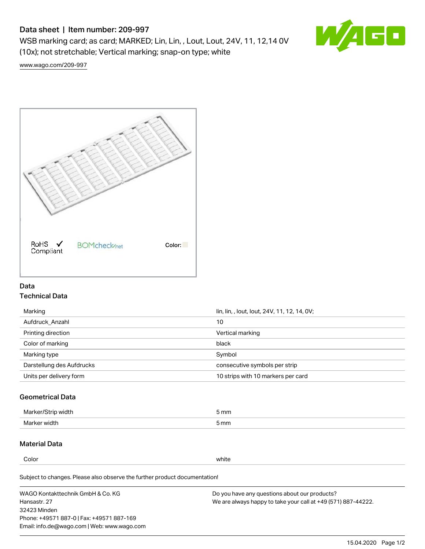### Data sheet | Item number: 209-997

WSB marking card; as card; MARKED; Lin, Lin, , Lout, Lout, 24V, 11, 12,14 0V (10x); not stretchable; Vertical marking; snap-on type; white



[www.wago.com/209-997](http://www.wago.com/209-997)



### Data Technical Data

| Marking                   | lin, lin, , lout, lout, 24V, 11, 12, 14, 0V; |  |
|---------------------------|----------------------------------------------|--|
| Aufdruck Anzahl           | 10                                           |  |
| Printing direction        | Vertical marking                             |  |
| Color of marking          | black                                        |  |
| Marking type              | Symbol                                       |  |
| Darstellung des Aufdrucks | consecutive symbols per strip                |  |
| Units per delivery form   | 10 strips with 10 markers per card           |  |

### Geometrical Data

| width        | $\mathsf{m}\mathsf{m}$ |
|--------------|------------------------|
| Marker/      | -                      |
| Marker width | 5 mm                   |

### Material Data

Color white

Subject to changes. Please also observe the further product documentation!

WAGO Kontakttechnik GmbH & Co. KG Hansastr. 27 32423 Minden Phone: +49571 887-0 | Fax: +49571 887-169 Email: info.de@wago.com | Web: www.wago.com Do you have any questions about our products? We are always happy to take your call at +49 (571) 887-44222.